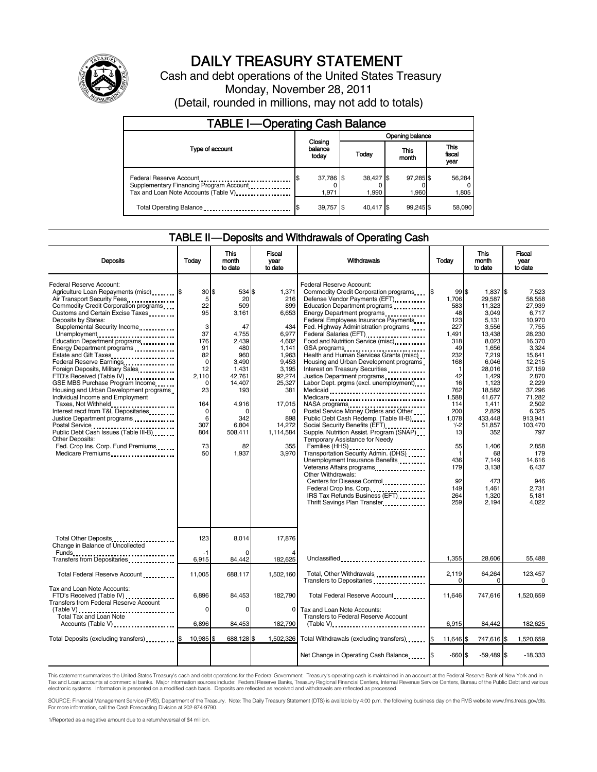

# DAILY TREASURY STATEMENT

Cash and debt operations of the United States Treasury Monday, November 28, 2011 (Detail, rounded in millions, may not add to totals)

| <b>TABLE I-Operating Cash Balance</b>                                                                       |                             |                    |                    |                               |  |
|-------------------------------------------------------------------------------------------------------------|-----------------------------|--------------------|--------------------|-------------------------------|--|
|                                                                                                             |                             | Opening balance    |                    |                               |  |
| Type of account                                                                                             | Closing<br>balance<br>today | Today              | This<br>month      | <b>This</b><br>fiscal<br>year |  |
| Federal Reserve Account<br>Supplementary Financing Program Account<br>Tax and Loan Note Accounts (Table V). | 37,786 \$<br>1.971          | 38,427 \$<br>1.990 | 97,285 \$<br>1.960 | 56,284<br>1,805               |  |
| Total Operating Balance                                                                                     | 39,757 \$                   | 40.417 \$          | 99.245 \$          | 58,090                        |  |

### TABLE II — Deposits and Withdrawals of Operating Cash

| <b>Deposits</b>                                                                                                                                                                                                                                                                                                                                                                                                                                                                                                                                                                                                                                                                                                                                                                                          | Todav                                                                                                                                  | <b>This</b><br>month<br>to date                                                                                                                                                | <b>Fiscal</b><br>year<br>to date                                                                                                                                             | Withdrawals                                                                                                                                                                                                                                                                                                                                                                                                                                                                                                                                                                                                                                                                                                                                                                                                                                                                                                                                                                                                                                    | Today                                                                                                                                                                                                                     | <b>This</b><br>month<br>to date                                                                                                                                                                                                                                     | Fiscal<br>vear<br>to date                                                                                                                                                                                                                                                         |
|----------------------------------------------------------------------------------------------------------------------------------------------------------------------------------------------------------------------------------------------------------------------------------------------------------------------------------------------------------------------------------------------------------------------------------------------------------------------------------------------------------------------------------------------------------------------------------------------------------------------------------------------------------------------------------------------------------------------------------------------------------------------------------------------------------|----------------------------------------------------------------------------------------------------------------------------------------|--------------------------------------------------------------------------------------------------------------------------------------------------------------------------------|------------------------------------------------------------------------------------------------------------------------------------------------------------------------------|------------------------------------------------------------------------------------------------------------------------------------------------------------------------------------------------------------------------------------------------------------------------------------------------------------------------------------------------------------------------------------------------------------------------------------------------------------------------------------------------------------------------------------------------------------------------------------------------------------------------------------------------------------------------------------------------------------------------------------------------------------------------------------------------------------------------------------------------------------------------------------------------------------------------------------------------------------------------------------------------------------------------------------------------|---------------------------------------------------------------------------------------------------------------------------------------------------------------------------------------------------------------------------|---------------------------------------------------------------------------------------------------------------------------------------------------------------------------------------------------------------------------------------------------------------------|-----------------------------------------------------------------------------------------------------------------------------------------------------------------------------------------------------------------------------------------------------------------------------------|
| Federal Reserve Account:<br>Agriculture Loan Repayments (misc) [\$<br>Air Transport Security Fees<br>Commodity Credit Corporation programs<br>Customs and Certain Excise Taxes<br>Deposits by States:<br>Supplemental Security Income<br>Unemployment<br>Education Department programs<br>Energy Department programs<br>Estate and Gift Taxes<br>Federal Reserve Earnings<br>Foreign Deposits, Military Sales<br>FTD's Received (Table IV)<br>GSE MBS Purchase Program Income<br>Housing and Urban Development programs<br>Individual Income and Employment<br>Taxes, Not Withheld<br>Interest recd from T&L Depositaries<br>Justice Department programs<br>Postal Service<br>Public Debt Cash Issues (Table III-B)<br><b>Other Deposits:</b><br>Fed. Crop Ins. Corp. Fund Premiums<br>Medicare Premiums | 30S<br>5<br>22<br>95<br>3<br>37<br>176<br>91<br>82<br>$\mathbf 0$<br>12<br>2,110<br>0<br>23<br>164<br>0<br>6<br>307<br>804<br>73<br>50 | 534 \$<br>20<br>509<br>3,161<br>47<br>4,755<br>2.439<br>480<br>960<br>3,490<br>1,431<br>42,761<br>14,407<br>193<br>4.916<br>$\Omega$<br>342<br>6,804<br>508,411<br>82<br>1,937 | 1,371<br>216<br>899<br>6,653<br>434<br>6,977<br>4,602<br>1.141<br>1.963<br>9,453<br>3,195<br>92,274<br>25,327<br>381<br>17,015<br>898<br>14,272<br>1,114,584<br>355<br>3.970 | Federal Reserve Account:<br>Commodity Credit Corporation programs<br>Defense Vendor Payments (EFT)<br>Education Department programs<br>Energy Department programs<br>Federal Employees Insurance Payments<br>Fed. Highway Administration programs<br>Federal Salaries (EFT)<br>Food and Nutrition Service (misc).<br>Health and Human Services Grants (misc)<br>Housing and Urban Development programs<br>Interest on Treasury Securities<br>Justice Department programs<br>Labor Dept. prgms (excl. unemployment)<br>Medicaid<br>Medicare<br>NASA programs<br>Postal Service Money Orders and Other<br>Public Debt Cash Redemp. (Table III-B)<br>Social Security Benefits (EFT)<br>Supple. Nutrition Assist. Program (SNAP)<br>Temporary Assistance for Needy<br>Families (HHS)<br>Transportation Security Admin. (DHS)<br>Unemployment Insurance Benefits<br>Veterans Affairs programs<br><br>Other Withdrawals:<br>Centers for Disease Control<br>Federal Crop Ins. Corp.<br>IRS Tax Refunds Business (EFT)<br>Thrift Savings Plan Transfer | 99S<br>I\$<br>1.706<br>583<br>48<br>123<br>227<br>1.491<br>318<br>49<br>232<br>168<br>1<br>42<br>16<br>762<br>1.588<br>114<br>200<br>1.078<br>$1/-2$<br>13<br>55<br>$\mathbf{1}$<br>436<br>179<br>92<br>149<br>264<br>259 | 1.837<br>29.587<br>11,323<br>3,049<br>5,131<br>3,556<br>13,438<br>8,023<br>1,656<br>7,219<br>6,046<br>28,016<br>1,429<br>1,123<br>18.582<br>41.677<br>1,411<br>2.829<br>433.448<br>51,857<br>352<br>1.406<br>68<br>7.149<br>3.138<br>473<br>1,461<br>1,320<br>2,194 | I\$<br>7.523<br>58.558<br>27,939<br>6,717<br>10.970<br>7,755<br>28.230<br>16.370<br>3,324<br>15.641<br>12,215<br>37,159<br>2,870<br>2,229<br>37.296<br>71.282<br>2.502<br>6.325<br>913.941<br>103.470<br>797<br>2.858<br>179<br>14.616<br>6.437<br>946<br>2.731<br>5,181<br>4.022 |
| Total Other Deposits<br>Change in Balance of Uncollected                                                                                                                                                                                                                                                                                                                                                                                                                                                                                                                                                                                                                                                                                                                                                 | 123                                                                                                                                    | 8,014                                                                                                                                                                          | 17,876                                                                                                                                                                       |                                                                                                                                                                                                                                                                                                                                                                                                                                                                                                                                                                                                                                                                                                                                                                                                                                                                                                                                                                                                                                                |                                                                                                                                                                                                                           |                                                                                                                                                                                                                                                                     |                                                                                                                                                                                                                                                                                   |
| Transfers from Depositaries<br>                                                                                                                                                                                                                                                                                                                                                                                                                                                                                                                                                                                                                                                                                                                                                                          | $-1$<br>6,915                                                                                                                          | $\Omega$<br>84,442                                                                                                                                                             | 182,625                                                                                                                                                                      | Unclassified                                                                                                                                                                                                                                                                                                                                                                                                                                                                                                                                                                                                                                                                                                                                                                                                                                                                                                                                                                                                                                   | 1,355                                                                                                                                                                                                                     | 28,606                                                                                                                                                                                                                                                              | 55,488                                                                                                                                                                                                                                                                            |
| Total Federal Reserve Account                                                                                                                                                                                                                                                                                                                                                                                                                                                                                                                                                                                                                                                                                                                                                                            | 11,005                                                                                                                                 | 688,117                                                                                                                                                                        | 1.502.160                                                                                                                                                                    | Total, Other Withdrawals<br>Transfers to Depositaries                                                                                                                                                                                                                                                                                                                                                                                                                                                                                                                                                                                                                                                                                                                                                                                                                                                                                                                                                                                          | 2.119<br>$\Omega$                                                                                                                                                                                                         | 64,264<br>0                                                                                                                                                                                                                                                         | 123.457<br>$\Omega$                                                                                                                                                                                                                                                               |
| Tax and Loan Note Accounts:<br>FTD's Received (Table IV)<br>Transfers from Federal Reserve Account                                                                                                                                                                                                                                                                                                                                                                                                                                                                                                                                                                                                                                                                                                       | 6,896<br>0                                                                                                                             | 84,453<br>0                                                                                                                                                                    | 182,790<br>$\mathbf 0$                                                                                                                                                       | Total Federal Reserve Account<br>Tax and Loan Note Accounts:                                                                                                                                                                                                                                                                                                                                                                                                                                                                                                                                                                                                                                                                                                                                                                                                                                                                                                                                                                                   | 11,646                                                                                                                                                                                                                    | 747,616                                                                                                                                                                                                                                                             | 1,520,659                                                                                                                                                                                                                                                                         |
| (Table V)<br>Total Tax and Loan Note<br>Accounts (Table V)                                                                                                                                                                                                                                                                                                                                                                                                                                                                                                                                                                                                                                                                                                                                               | 6,896                                                                                                                                  | 84,453                                                                                                                                                                         | 182,790                                                                                                                                                                      | <b>Transfers to Federal Reserve Account</b>                                                                                                                                                                                                                                                                                                                                                                                                                                                                                                                                                                                                                                                                                                                                                                                                                                                                                                                                                                                                    | 6,915                                                                                                                                                                                                                     | 84,442                                                                                                                                                                                                                                                              | 182,625                                                                                                                                                                                                                                                                           |
| Total Deposits (excluding transfers) <b>S</b>                                                                                                                                                                                                                                                                                                                                                                                                                                                                                                                                                                                                                                                                                                                                                            | 10,985 \$                                                                                                                              | 688,128 \$                                                                                                                                                                     | 1,502,326                                                                                                                                                                    | Total Withdrawals (excluding transfers) [\$                                                                                                                                                                                                                                                                                                                                                                                                                                                                                                                                                                                                                                                                                                                                                                                                                                                                                                                                                                                                    | 11.646 \$                                                                                                                                                                                                                 | 747,616 \$                                                                                                                                                                                                                                                          | 1.520.659                                                                                                                                                                                                                                                                         |
|                                                                                                                                                                                                                                                                                                                                                                                                                                                                                                                                                                                                                                                                                                                                                                                                          |                                                                                                                                        |                                                                                                                                                                                |                                                                                                                                                                              | Net Change in Operating Cash Balance                                                                                                                                                                                                                                                                                                                                                                                                                                                                                                                                                                                                                                                                                                                                                                                                                                                                                                                                                                                                           | $-660S$                                                                                                                                                                                                                   | $-59,489$ \$                                                                                                                                                                                                                                                        | $-18,333$                                                                                                                                                                                                                                                                         |

This statement summarizes the United States Treasury's cash and debt operations for the Federal Government. Treasury's operating cash is maintained in an account at the Federal Reserve Bank of New York and in<br>Tax and Loan

SOURCE: Financial Management Service (FMS), Department of the Treasury. Note: The Daily Treasury Statement (DTS) is available by 4:00 p.m. the following business day on the FMS website www.fms.treas.gov/dts.<br>For more infor

1/Reported as a negative amount due to a return/reversal of \$4 million.